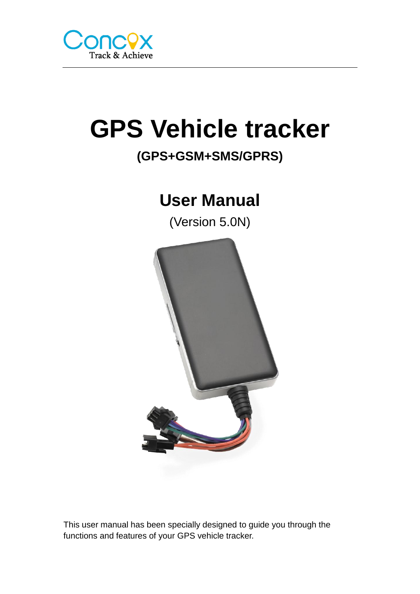

# **GPS Vehicle tracker**

# **(GPS+GSM+SMS/GPRS)**

# **User Manual**

(Version 5.0N)



This user manual has been specially designed to guide you through the functions and features of your GPS vehicle tracker.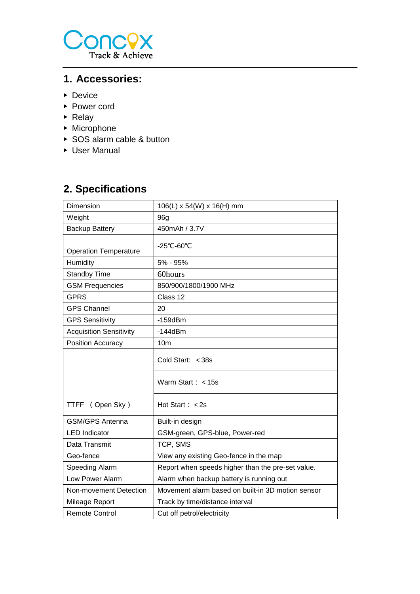

### **1. Accessories:**

- ▶ Device
- ▶ Power cord
- ▶ Relay
- ▶ Microphone
- ▶ SOS alarm cable & button
- ▶ User Manual

# **2. Specifications**

| Dimension                      | 106(L) x 54(W) x 16(H) mm                         |  |
|--------------------------------|---------------------------------------------------|--|
| Weight                         | 96g                                               |  |
| <b>Backup Battery</b>          | 450mAh / 3.7V                                     |  |
| <b>Operation Temperature</b>   | -25°C-60°C                                        |  |
| Humidity                       | 5% - 95%                                          |  |
| <b>Standby Time</b>            | 60hours                                           |  |
| <b>GSM Frequencies</b>         | 850/900/1800/1900 MHz                             |  |
| <b>GPRS</b>                    | Class 12                                          |  |
| <b>GPS Channel</b>             | 20                                                |  |
| <b>GPS Sensitivity</b>         | $-159$ d $Bm$                                     |  |
| <b>Acquisition Sensitivity</b> | $-144dBm$                                         |  |
| Position Accuracy              | 10 <sub>m</sub>                                   |  |
|                                | Cold Start: < 38s                                 |  |
|                                | Warm Start : $<$ 15s                              |  |
| TTFF (Open Sky)                | Hot Start $: < 2s$                                |  |
| <b>GSM/GPS Antenna</b>         | Built-in design                                   |  |
| <b>LED</b> Indicator           | GSM-green, GPS-blue, Power-red                    |  |
| Data Transmit                  | TCP, SMS                                          |  |
| Geo-fence                      | View any existing Geo-fence in the map            |  |
| Speeding Alarm                 | Report when speeds higher than the pre-set value. |  |
| Low Power Alarm                | Alarm when backup battery is running out          |  |
| Non-movement Detection         | Movement alarm based on built-in 3D motion sensor |  |
| Mileage Report                 | Track by time/distance interval                   |  |
| <b>Remote Control</b>          | Cut off petrol/electricity                        |  |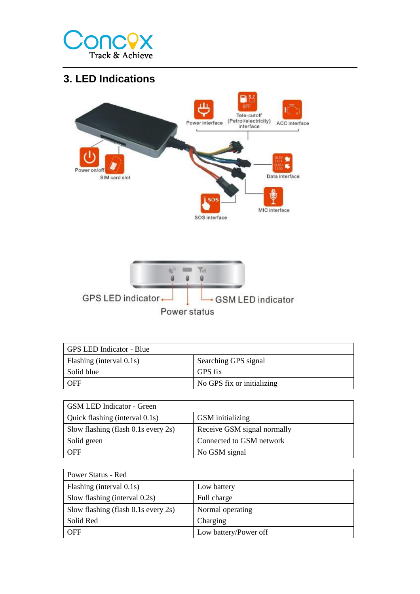

# **3. LED Indications**



| GPS LED Indicator - Blue |                            |  |
|--------------------------|----------------------------|--|
| Flashing (interval 0.1s) | Searching GPS signal       |  |
| Solid blue               | GPS fix                    |  |
| l OFF                    | No GPS fix or initializing |  |

| GSM LED Indicator - Green                |                             |  |  |
|------------------------------------------|-----------------------------|--|--|
| Quick flashing (interval 0.1s)           | <b>GSM</b> initializing     |  |  |
| Slow flashing (flash $0.1s$ every $2s$ ) | Receive GSM signal normally |  |  |
| Solid green                              | Connected to GSM network    |  |  |
| <b>OFF</b>                               | No GSM signal               |  |  |

| Power Status - Red                        |                       |
|-------------------------------------------|-----------------------|
| Flashing (interval 0.1s)                  | Low battery           |
| Slow flashing (interval 0.2s)             | Full charge           |
| Slow flashing (flash $0.1$ s every $2s$ ) | Normal operating      |
| Solid Red                                 | Charging              |
| <b>OFF</b>                                | Low battery/Power off |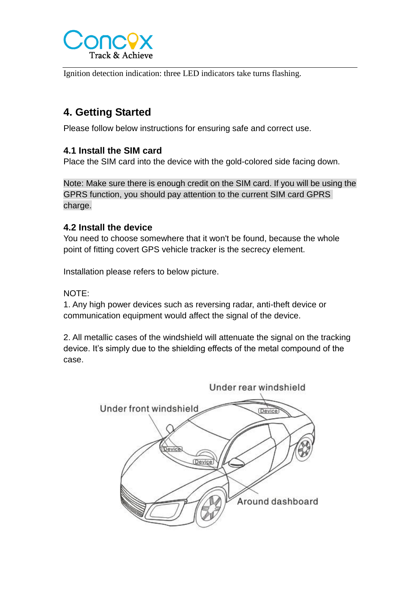

Ignition detection indication: three LED indicators take turns flashing.

# **4. Getting Started**

Please follow below instructions for ensuring safe and correct use.

#### **4.1 Install the SIM card**

Place the SIM card into the device with the gold-colored side facing down.

Note: Make sure there is enough credit on the SIM card. If you will be using the GPRS function, you should pay attention to the current SIM card GPRS charge.

#### **4.2 Install the device**

You need to choose somewhere that it won't be found, because the whole point of fitting covert GPS vehicle tracker is the secrecy element.

Installation please refers to below picture.

#### NOTE:

1. Any high power devices such as reversing radar, anti-theft device or communication equipment would affect the signal of the device.

2. All metallic cases of the windshield will attenuate the signal on the tracking device. It's simply due to the shielding effects of the metal compound of the case.

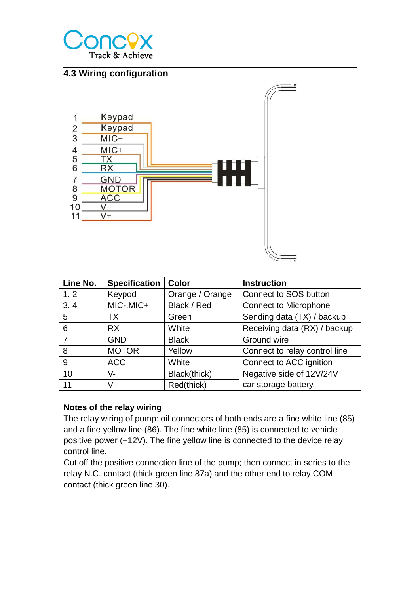

#### **4.3 Wiring configuration**



| Line No. | <b>Specification</b> | <b>Color</b>                        | <b>Instruction</b>            |
|----------|----------------------|-------------------------------------|-------------------------------|
| 1.2      | Keypod               | Orange / Orange                     | <b>Connect to SOS button</b>  |
| 3.4      | MIC-, MIC+           | Black / Red                         | <b>Connect to Microphone</b>  |
| 5        | ТX                   | Sending data (TX) / backup<br>Green |                               |
| 6        | <b>RX</b>            | White                               | Receiving data (RX) / backup  |
| 7        | <b>GND</b>           | <b>Black</b>                        | Ground wire                   |
| 8        | <b>MOTOR</b>         | Yellow                              | Connect to relay control line |
| 9        | <b>ACC</b>           | White                               | Connect to ACC ignition       |
| 10       | $V -$                | Black(thick)                        | Negative side of 12V/24V      |
| 11       | $V +$                | Red(thick)                          | car storage battery.          |

#### **Notes of the relay wiring**

The relay wiring of pump: oil connectors of both ends are a fine white line (85) and a fine yellow line (86). The fine white line (85) is connected to vehicle positive power (+12V). The fine yellow line is connected to the device relay control line.

Cut off the positive connection line of the pump; then connect in series to the relay N.C. contact (thick green line 87a) and the other end to relay COM contact (thick green line 30).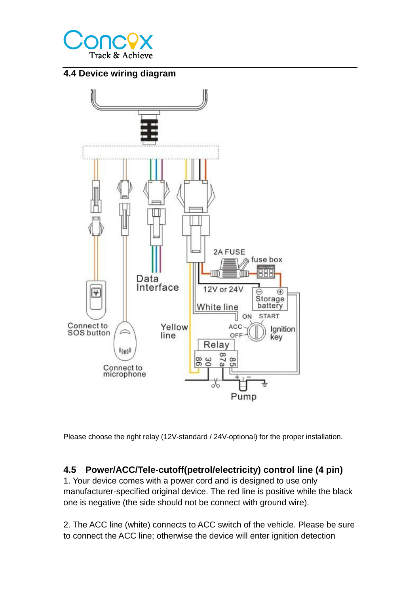

#### **4.4 Device wiring diagram**



Please choose the right relay (12V-standard / 24V-optional) for the proper installation.

#### **4.5 Power/ACC/Tele-cutoff(petrol/electricity) control line (4 pin)**

1. Your device comes with a power cord and is designed to use only manufacturer-specified original device. The red line is positive while the black one is negative (the side should not be connect with ground wire).

2. The ACC line (white) connects to ACC switch of the vehicle. Please be sure to connect the ACC line; otherwise the device will enter ignition detection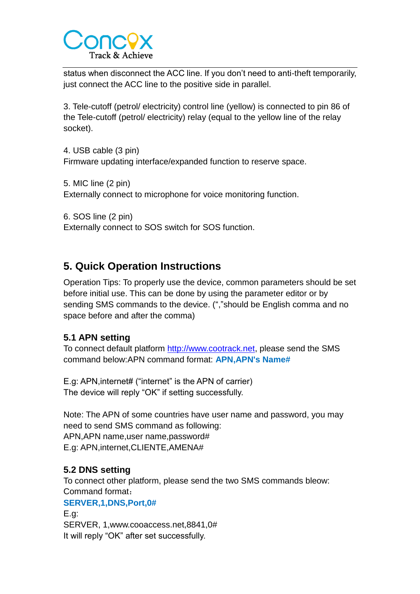

status when disconnect the ACC line. If you don't need to anti-theft temporarily, just connect the ACC line to the positive side in parallel.

3. Tele-cutoff (petrol/ electricity) control line (yellow) is connected to pin 86 of the Tele-cutoff (petrol/ electricity) relay (equal to the yellow line of the relay socket).

4. USB cable (3 pin) Firmware updating interface/expanded function to reserve space.

5. MIC line (2 pin) Externally connect to microphone for voice monitoring function.

6. SOS line (2 pin) Externally connect to SOS switch for SOS function.

# **5. Quick Operation Instructions**

Operation Tips: To properly use the device, common parameters should be set before initial use. This can be done by using the parameter editor or by sending SMS commands to the device. (","should be English comma and no space before and after the comma)

#### **5.1 APN setting**

To connect default platform [http://www.cootrack.net,](http://www.cootrack.net/) please send the SMS command below:APN command format: **APN,APN's Name#**

E.g: APN,internet# ("internet" is the APN of carrier) The device will reply "OK" if setting successfully.

Note: The APN of some countries have user name and password, you may need to send SMS command as following: APN,APN name,user name,password# E.g: APN,internet,CLIENTE,AMENA#

#### **5.2 DNS setting**

To connect other platform, please send the two SMS commands bleow: Command format:

#### **SERVER,1,DNS,Port,0#**

E.g: SERVER, 1,www.cooaccess.net,8841,0# It will reply "OK" after set successfully.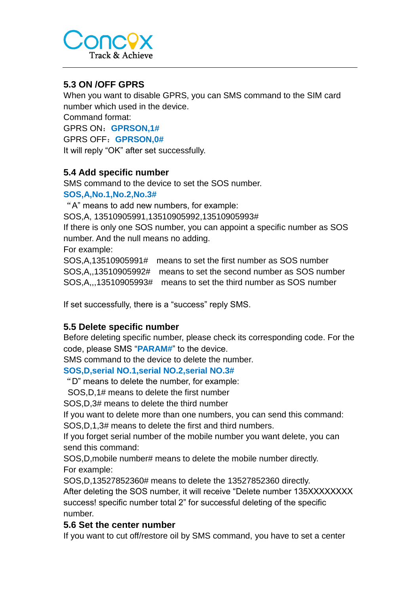

#### **5.3 ON /OFF GPRS**

When you want to disable GPRS, you can SMS command to the SIM card number which used in the device.

Command format:

GPRS ON:**GPRSON,1#**

GPRS OFF:**GPRSON,0#**

It will reply "OK" after set successfully.

#### **5.4 Add specific number**

SMS command to the device to set the SOS number.

#### **SOS,A,No.1,No.2,No.3#**

"A" means to add new numbers, for example:

SOS,A, 13510905991,13510905992,13510905993#

If there is only one SOS number, you can appoint a specific number as SOS number. And the null means no adding.

For example:

SOS,A,13510905991# means to set the first number as SOS number SOS,A,,13510905992# means to set the second number as SOS number SOS,A,,,13510905993# means to set the third number as SOS number

If set successfully, there is a "success" reply SMS.

#### **5.5 Delete specific number**

Before deleting specific number, please check its corresponding code. For the code, please SMS "**PARAM#**" to the device.

SMS command to the device to delete the number.

#### **SOS,D,serial NO.1,serial NO.2,serial NO.3#**

"D" means to delete the number, for example:

SOS,D,1# means to delete the first number

SOS,D,3# means to delete the third number

If you want to delete more than one numbers, you can send this command:

SOS,D,1,3# means to delete the first and third numbers.

If you forget serial number of the mobile number you want delete, you can send this command:

SOS,D,mobile number# means to delete the mobile number directly. For example:

SOS,D,13527852360# means to delete the 13527852360 directly.

After deleting the SOS number, it will receive "Delete number 135XXXXXXXX success! specific number total 2" for successful deleting of the specific number.

#### **5.6 Set the center number**

If you want to cut off/restore oil by SMS command, you have to set a center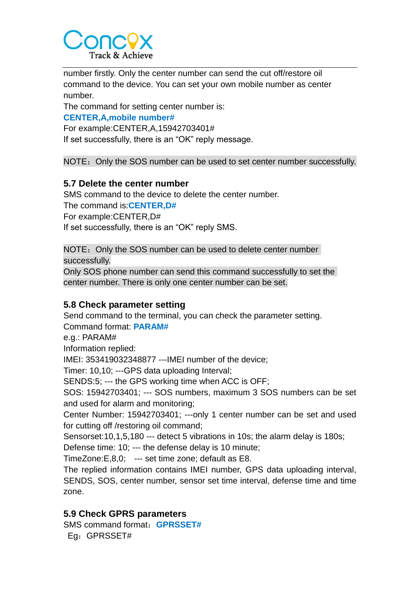

number firstly. Only the center number can send the cut off/restore oil command to the device. You can set your own mobile number as center number.

The command for setting center number is:

#### **CENTER,A,mobile number#**

For example:CENTER,A,15942703401#

If set successfully, there is an "OK" reply message.

NOTE: Only the SOS number can be used to set center number successfully.

#### **5.7 Delete the center number**

SMS command to the device to delete the center number.

The command is:**CENTER,D#**

For example:CENTER,D#

If set successfully, there is an "OK" reply SMS.

NOTE: Only the SOS number can be used to delete center number successfully.

Only SOS phone number can send this command successfully to set the center number. There is only one center number can be set.

#### **5.8 Check parameter setting**

Send command to the terminal, you can check the parameter setting. Command format: **PARAM#**

e.g.: PARAM#

Information replied:

IMEI: 353419032348877 ---IMEI number of the device;

Timer: 10,10; ---GPS data uploading Interval;

SENDS:5; --- the GPS working time when ACC is OFF;

SOS: 15942703401; --- SOS numbers, maximum 3 SOS numbers can be set and used for alarm and monitoring;

Center Number: 15942703401; ---only 1 center number can be set and used for cutting off /restoring oil command;

Sensorset:10,1,5,180 --- detect 5 vibrations in 10s; the alarm delay is 180s;

Defense time: 10; --- the defense delay is 10 minute;

TimeZone:E,8,0; --- set time zone; default as E8.

The replied information contains IMEI number, GPS data uploading interval, SENDS, SOS, center number, sensor set time interval, defense time and time zone.

#### **5.9 Check GPRS parameters**

SMS command format:**GPRSSET#** Eg:GPRSSET#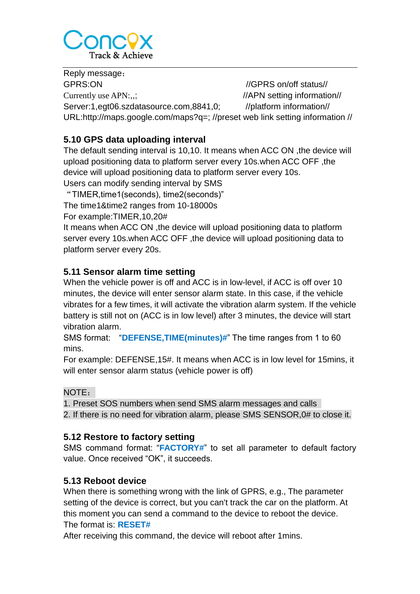

Reply message: GPRS:ON //GPRS on/off status// Currently use APN:,,; ///APN setting information// Server:1,egt06.szdatasource.com,8841,0; //platform information// URL:http://maps.google.com/maps?q=; //preset web link setting information //

#### **5.10 GPS data uploading interval**

The default sending interval is 10,10. It means when ACC ON ,the device will upload positioning data to platform server every 10s.when ACC OFF ,the device will upload positioning data to platform server every 10s. Users can modify sending interval by SMS

"TIMER,time1(seconds), time2(seconds)" The time1&time2 ranges from 10-18000s

For example:TIMER,10,20#

It means when ACC ON ,the device will upload positioning data to platform server every 10s.when ACC OFF ,the device will upload positioning data to platform server every 20s.

#### **5.11 Sensor alarm time setting**

When the vehicle power is off and ACC is in low-level, if ACC is off over 10 minutes, the device will enter sensor alarm state. In this case, if the vehicle vibrates for a few times, it will activate the vibration alarm system. If the vehicle battery is still not on (ACC is in low level) after 3 minutes, the device will start vibration alarm.

SMS format: "**DEFENSE,TIME(minutes)#**" The time ranges from 1 to 60 mins.

For example: DEFENSE,15#. It means when ACC is in low level for 15mins, it will enter sensor alarm status (vehicle power is off)

#### NOTE:

1. Preset SOS numbers when send SMS alarm messages and calls

2. If there is no need for vibration alarm, please SMS SENSOR,0# to close it.

#### **5.12 Restore to factory setting**

SMS command format: "**FACTORY#**" to set all parameter to default factory value. Once received "OK", it succeeds.

#### **5.13 Reboot device**

When there is something wrong with the link of GPRS, e.g., The parameter setting of the device is correct, but you can't track the car on the platform. At this moment you can send a command to the device to reboot the device. The format is: **RESET#**

After receiving this command, the device will reboot after 1mins.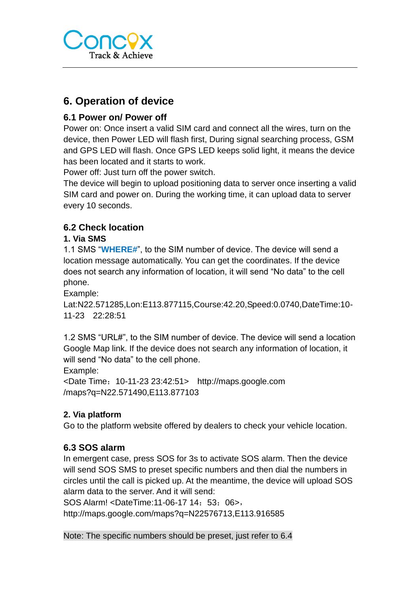

## **6. Operation of device**

#### **6.1 Power on/ Power off**

Power on: Once insert a valid SIM card and connect all the wires, turn on the device, then Power LED will flash first, During signal searching process, GSM and GPS LED will flash. Once GPS LED keeps solid light, it means the device has been located and it starts to work.

Power off: Just turn off the power switch.

The device will begin to upload positioning data to server once inserting a valid SIM card and power on. During the working time, it can upload data to server every 10 seconds.

#### **6.2 Check location**

#### **1. Via SMS**

1.1 SMS "**WHERE#**", to the SIM number of device. The device will send a location message automatically. You can get the coordinates. If the device does not search any information of location, it will send "No data" to the cell phone.

Example:

Lat:N22.571285,Lon:E113.877115,Course:42.20,Speed:0.0740,DateTime:10- 11-23 22:28:51

1.2 SMS "URL#", to the SIM number of device. The device will send a location Google Map link. If the device does not search any information of location, it will send "No data" to the cell phone.

Example:

<Date Time:10-11-23 23:42:51> http://maps.google.com /maps?q=N22.571490,E113.877103

#### **2. Via platform**

Go to the platform website offered by dealers to check your vehicle location.

#### **6.3 SOS alarm**

In emergent case, press SOS for 3s to activate SOS alarm. Then the device will send SOS SMS to preset specific numbers and then dial the numbers in circles until the call is picked up. At the meantime, the device will upload SOS alarm data to the server. And it will send:

SOS Alarm! <DateTime:11-06-17 14: 53: 06>,

http://maps.google.com/maps?q=N22576713,E113.916585

Note: The specific numbers should be preset, just refer to 6.4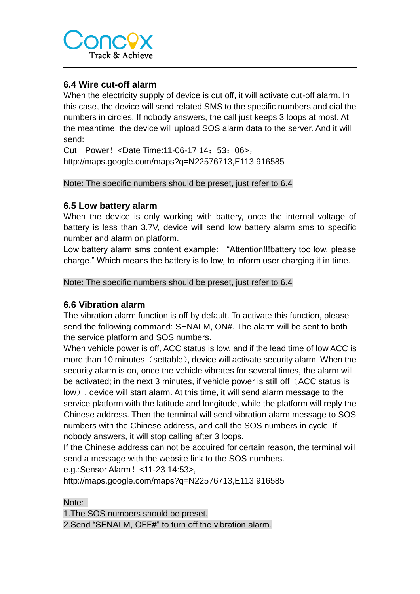

#### **6.4 Wire cut-off alarm**

When the electricity supply of device is cut off, it will activate cut-off alarm. In this case, the device will send related SMS to the specific numbers and dial the numbers in circles. If nobody answers, the call just keeps 3 loops at most. At the meantime, the device will upload SOS alarm data to the server. And it will send:

Cut Power! <Date Time: 11-06-17 14: 53: 06>, http://maps.google.com/maps?q=N22576713,E113.916585

Note: The specific numbers should be preset, just refer to 6.4

#### **6.5 Low battery alarm**

When the device is only working with battery, once the internal voltage of battery is less than 3.7V, device will send low battery alarm sms to specific number and alarm on platform.

Low battery alarm sms content example: "Attention!!!battery too low, please charge." Which means the battery is to low, to inform user charging it in time.

Note: The specific numbers should be preset, just refer to 6.4

#### **6.6 Vibration alarm**

The vibration alarm function is off by default. To activate this function, please send the following command: SENALM, ON#. The alarm will be sent to both the service platform and SOS numbers.

When vehicle power is off, ACC status is low, and if the lead time of low ACC is more than 10 minutes (settable), device will activate security alarm. When the security alarm is on, once the vehicle vibrates for several times, the alarm will be activated; in the next 3 minutes, if vehicle power is still off (ACC status is low), device will start alarm. At this time, it will send alarm message to the service platform with the latitude and longitude, while the platform will reply the Chinese address. Then the terminal will send vibration alarm message to SOS numbers with the Chinese address, and call the SOS numbers in cycle. If nobody answers, it will stop calling after 3 loops.

If the Chinese address can not be acquired for certain reason, the terminal will send a message with the website link to the SOS numbers.

e.g.:Sensor Alarm!<11-23 14:53>,

http://maps.google.com/maps?q=N22576713,E113.916585

Note:

1.The SOS numbers should be preset.

2.Send "SENALM, OFF#" to turn off the vibration alarm.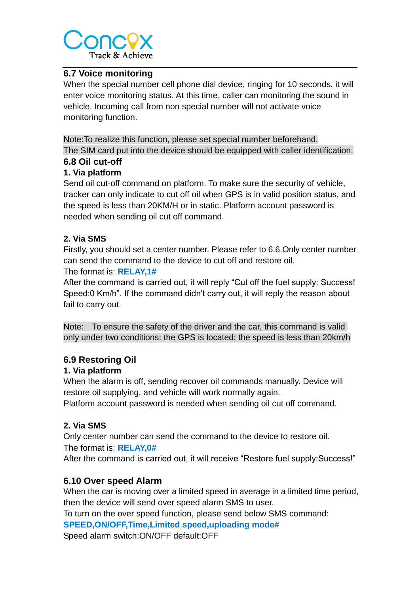

#### **6.7 Voice monitoring**

When the special number cell phone dial device, ringing for 10 seconds, it will enter voice monitoring status. At this time, caller can monitoring the sound in vehicle. Incoming call from non special number will not activate voice monitoring function.

Note:To realize this function, please set special number beforehand. The SIM card put into the device should be equipped with caller identification.

#### **6.8 Oil cut-off**

#### **1. Via platform**

Send oil cut-off command on platform. To make sure the security of vehicle, tracker can only indicate to cut off oil when GPS is in valid position status, and the speed is less than 20KM/H or in static. Platform account password is needed when sending oil cut off command.

#### **2. Via SMS**

Firstly, you should set a center number. Please refer to 6.6.Only center number can send the command to the device to cut off and restore oil.

#### The format is: **RELAY,1#**

After the command is carried out, it will reply "Cut off the fuel supply: Success! Speed:0 Km/h". If the command didn't carry out, it will reply the reason about fail to carry out.

Note: To ensure the safety of the driver and the car, this command is valid only under two conditions: the GPS is located; the speed is less than 20km/h

#### **6.9 Restoring Oil**

#### **1. Via platform**

When the alarm is off, sending recover oil commands manually. Device will restore oil supplying, and vehicle will work normally again.

Platform account password is needed when sending oil cut off command.

#### **2. Via SMS**

Only center number can send the command to the device to restore oil. The format is: **RELAY,0#**

After the command is carried out, it will receive "Restore fuel supply:Success!"

#### **6.10 Over speed Alarm**

When the car is moving over a limited speed in average in a limited time period, then the device will send over speed alarm SMS to user.

To turn on the over speed function, please send below SMS command:

**SPEED,ON/OFF,Time,Limited speed,uploading mode#**

Speed alarm switch:ON/OFF default:OFF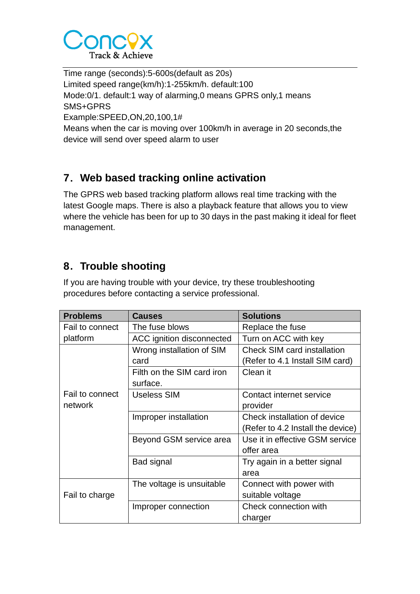

Time range (seconds):5-600s(default as 20s) Limited speed range(km/h):1-255km/h. default:100 Mode:0/1. default:1 way of alarming,0 means GPRS only,1 means SMS+GPRS Example:SPEED,ON,20,100,1# Means when the car is moving over 100km/h in average in 20 seconds,the device will send over speed alarm to user

# **7**.**Web based tracking online activation**

The GPRS web based tracking platform allows real time tracking with the latest Google maps. There is also a playback feature that allows you to view where the vehicle has been for up to 30 days in the past making it ideal for fleet management.

# **8**.**Trouble shooting**

If you are having trouble with your device, try these troubleshooting procedures before contacting a service professional.

| <b>Problems</b> | <b>Causes</b>                                                   | <b>Solutions</b>                  |
|-----------------|-----------------------------------------------------------------|-----------------------------------|
| Fail to connect | The fuse blows                                                  | Replace the fuse                  |
| platform        | ACC ignition disconnected                                       | Turn on ACC with key              |
|                 | <b>Check SIM card installation</b><br>Wrong installation of SIM |                                   |
|                 | card                                                            | (Refer to 4.1 Install SIM card)   |
|                 | Filth on the SIM card iron                                      | Clean it                          |
|                 | surface.                                                        |                                   |
| Fail to connect | <b>Useless SIM</b>                                              | Contact internet service          |
| network         |                                                                 | provider                          |
|                 | Improper installation                                           | Check installation of device      |
|                 |                                                                 | (Refer to 4.2 Install the device) |
|                 | Beyond GSM service area                                         | Use it in effective GSM service   |
|                 |                                                                 | offer area                        |
|                 | Bad signal                                                      | Try again in a better signal      |
|                 |                                                                 | area                              |
|                 | The voltage is unsuitable                                       | Connect with power with           |
| Fail to charge  |                                                                 | suitable voltage                  |
|                 | Improper connection                                             | Check connection with             |
|                 |                                                                 | charger                           |